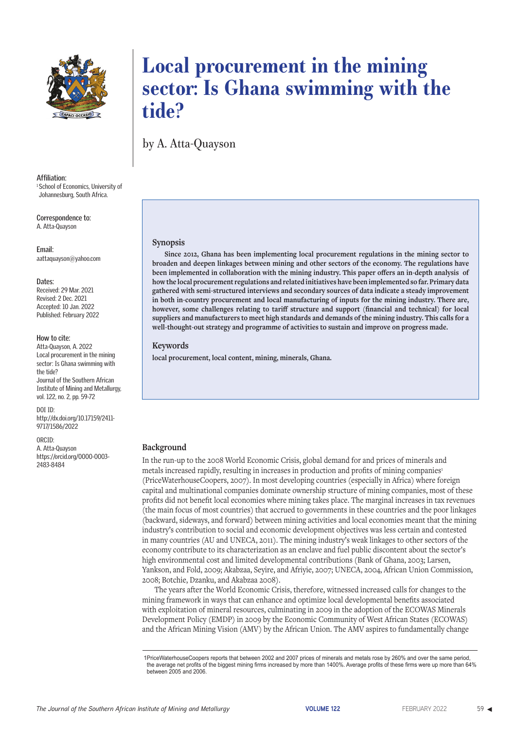

**Affiliation:** <sup>1</sup> School of Economics, University of Johannesburg, South Africa.

**Correspondence to:** A. Atta-Quayson

**Email:** aattaquayson@yahoo.com

#### **Dates:**

Received: 29 Mar. 2021 Revised: 2 Dec. 2021 Accepted: 10 Jan. 2022 Published: February 2022

#### **How to cite:**

Atta-Quayson, A. 2022 Local procurement in the mining sector: Is Ghana swimming with the tide? Journal of the Southern African Institute of Mining and Metallurgy, vol. 122, no. 2, pp. 59-72

DOI ID: http://dx.doi.org/10.17159/2411- 9717/1586/2022

ORCID: A. Atta-Quayson https://orcid.org/0000-0003- 2483-8484

# **Local procurement in the mining sector: Is Ghana swimming with the tide?**

by A. Atta-Quayson

#### **Synopsis**

**Since 2012, Ghana has been implementing local procurement regulations in the mining sector to broaden and deepen linkages between mining and other sectors of the economy. The regulations have been implemented in collaboration with the mining industry. This paper offers an in-depth analysis of how the local procurement regulations and related initiatives have been implemented so far. Primary data gathered with semi-structured interviews and secondary sources of data indicate a steady improvement in both in-country procurement and local manufacturing of inputs for the mining industry. There are, however, some challenges relating to tariff structure and support (financial and technical) for local suppliers and manufacturers to meet high standards and demands of the mining industry. This calls for a well-thought-out strategy and programme of activities to sustain and improve on progress made.**

#### **Keywords**

**local procurement, local content, mining, minerals, Ghana.**

### **Background**

In the run-up to the 2008 World Economic Crisis, global demand for and prices of minerals and metals increased rapidly, resulting in increases in production and profits of mining companies<sup>1</sup> (PriceWaterhouseCoopers, 2007). In most developing countries (especially in Africa) where foreign capital and multinational companies dominate ownership structure of mining companies, most of these profits did not benefit local economies where mining takes place. The marginal increases in tax revenues (the main focus of most countries) that accrued to governments in these countries and the poor linkages (backward, sideways, and forward) between mining activities and local economies meant that the mining industry's contribution to social and economic development objectives was less certain and contested in many countries (AU and UNECA, 2011). The mining industry's weak linkages to other sectors of the economy contribute to its characterization as an enclave and fuel public discontent about the sector's high environmental cost and limited developmental contributions (Bank of Ghana, 2003; Larsen, Yankson, and Fold, 2009; Akabzaa, Seyire, and Afriyie, 2007; UNECA, 2004, African Union Commission, 2008; Botchie, Dzanku, and Akabzaa 2008).

The years after the World Economic Crisis, therefore, witnessed increased calls for changes to the mining framework in ways that can enhance and optimize local developmental benefits associated with exploitation of mineral resources, culminating in 2009 in the adoption of the ECOWAS Minerals Development Policy (EMDP) in 2009 by the Economic Community of West African States (ECOWAS) and the African Mining Vision (AMV) by the African Union. The AMV aspires to fundamentally change

<sup>1</sup>PriceWaterhouseCoopers reports that between 2002 and 2007 prices of minerals and metals rose by 260% and over the same period, the average net profits of the biggest mining firms increased by more than 1400%. Average profits of these firms were up more than 64% between 2005 and 2006.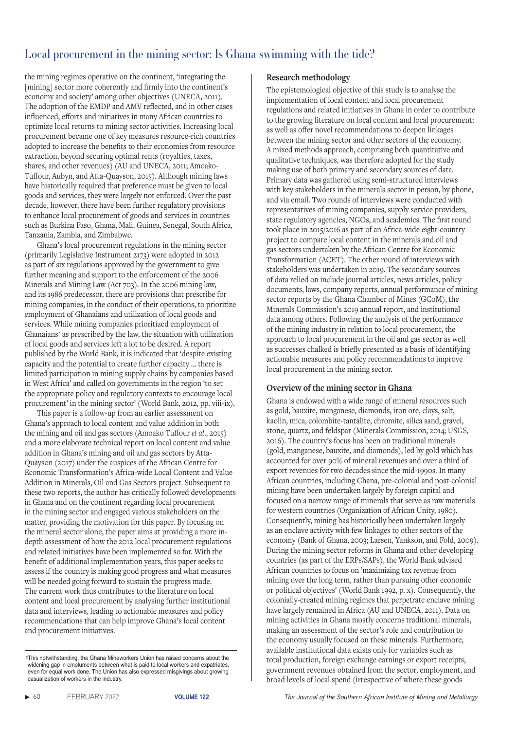the mining regimes operative on the continent, 'integrating the [mining] sector more coherently and firmly into the continent's economy and society' among other objectives (UNECA, 2011). The adoption of the EMDP and AMV reflected, and in other cases influenced, efforts and initiatives in many African countries to optimize local returns to mining sector activities. Increasing local procurement became one of key measures resource-rich countries adopted to increase the benefits to their economies from resource extraction, beyond securing optimal rents (royalties, taxes, shares, and other revenues) (AU and UNECA, 2011; Amoako-Tuffour, Aubyn, and Atta-Quayson, 2015). Although mining laws have historically required that preference must be given to local goods and services, they were largely not enforced. Over the past decade, however, there have been further regulatory provisions to enhance local procurement of goods and services in countries such as Burkina Faso, Ghana, Mali, Guinea, Senegal, South Africa, Tanzania, Zambia, and Zimbabwe.

Ghana's local procurement regulations in the mining sector (primarily Legislative Instrument 2173) were adopted in 2012 as part of six regulations approved by the government to give further meaning and support to the enforcement of the 2006 Minerals and Mining Law (Act 703). In the 2006 mining law, and its 1986 predecessor, there are provisions that prescribe for mining companies, in the conduct of their operations, to prioritize employment of Ghanaians and utilization of local goods and services. While mining companies prioritized employment of Ghanaians<sup>2</sup> as prescribed by the law, the situation with utilization of local goods and services left a lot to be desired. A report published by the World Bank, it is indicated that 'despite existing capacity and the potential to create further capacity … there is limited participation in mining supply chains by companies based in West Africa' and called on governments in the region 'to set the appropriate policy and regulatory contexts to encourage local procurement' in the mining sector' (World Bank, 2012, pp. viii-ix).

This paper is a follow-up from an earlier assessment on Ghana's approach to local content and value addition in both the mining and oil and gas sectors (Amoako Tuffour *et al*., 2015) and a more elaborate technical report on local content and value addition in Ghana's mining and oil and gas sectors by Atta-Quayson (2017) under the auspices of the African Centre for Economic Transformation's Africa-wide Local Content and Value Addition in Minerals, Oil and Gas Sectors project. Subsequent to these two reports, the author has critically followed developments in Ghana and on the continent regarding local procurement in the mining sector and engaged various stakeholders on the matter, providing the motivation for this paper. By focusing on the mineral sector alone, the paper aims at providing a more indepth assessment of how the 2012 local procurement regulations and related initiatives have been implemented so far. With the benefit of additional implementation years, this paper seeks to assess if the country is making good progress and what measures will be needed going forward to sustain the progress made. The current work thus contributes to the literature on local content and local procurement by analysing further institutional data and interviews, leading to actionable measures and policy recommendations that can help improve Ghana's local content and procurement initiatives.

### **Research methodology**

The epistemological objective of this study is to analyse the implementation of local content and local procurement regulations and related initiatives in Ghana in order to contribute to the growing literature on local content and local procurement; as well as offer novel recommendations to deepen linkages between the mining sector and other sectors of the economy. A mixed methods approach, comprising both quantitative and qualitative techniques, was therefore adopted for the study making use of both primary and secondary sources of data. Primary data was gathered using semi-structured interviews with key stakeholders in the minerals sector in person, by phone, and via email. Two rounds of interviews were conducted with representatives of mining companies, supply service providers, state regulatory agencies, NGOs, and academics. The first round took place in 2015/2016 as part of an Africa-wide eight-country project to compare local content in the minerals and oil and gas sectors undertaken by the African Centre for Economic Transformation (ACET). The other round of interviews with stakeholders was undertaken in 2019. The secondary sources of data relied on include journal articles, news articles, policy documents, laws, company reports, annual performance of mining sector reports by the Ghana Chamber of Mines (GCoM), the Minerals Commission's 2019 annual report, and institutional data among others. Following the analysis of the performance of the mining industry in relation to local procurement, the approach to local procurement in the oil and gas sector as well as successes chalked is briefly presented as a basis of identifying actionable measures and policy recommendations to improve local procurement in the mining sector.

### **Overview of the mining sector in Ghana**

Ghana is endowed with a wide range of mineral resources such as gold, bauxite, manganese, diamonds, iron ore, clays, salt, kaolin, mica, colombite-tantalite, chromite, silica sand, gravel, stone, quartz, and feldspar (Minerals Commission, 2014; USGS, 2016). The country's focus has been on traditional minerals (gold, manganese, bauxite, and diamonds), led by gold which has accounted for over 90% of mineral revenues and over a third of export revenues for two decades since the mid-1990s. In many African countries, including Ghana, pre-colonial and post-colonial mining have been undertaken largely by foreign capital and focused on a narrow range of minerals that serve as raw materials for western countries (Organization of African Unity, 1980). Consequently, mining has historically been undertaken largely as an enclave activity with few linkages to other sectors of the economy (Bank of Ghana, 2003; Larsen, Yankson, and Fold, 2009). During the mining sector reforms in Ghana and other developing countries (as part of the ERPs/SAPs), the World Bank advised African countries to focus on 'maximizing tax revenue from mining over the long term, rather than pursuing other economic or political objectives' (World Bank 1992, p. x). Consequently, the colonially-created mining regimes that perpetrate enclave mining have largely remained in Africa (AU and UNECA, 2011). Data on mining activities in Ghana mostly concerns traditional minerals, making an assessment of the sector's role and contribution to the economy usually focused on these minerals. Furthermore, available institutional data exists only for variables such as total production, foreign exchange earnings or export receipts, government revenues obtained from the sector, employment, and broad levels of local spend (irrespective of where these goods

<sup>2</sup>This notwithstanding, the Ghana Mineworkers Union has raised concerns about the widening gap in emoluments between what is paid to local workers and expatriates. even for equal work done. The Union has also expressed misgivings about growing casualization of workers in the industry.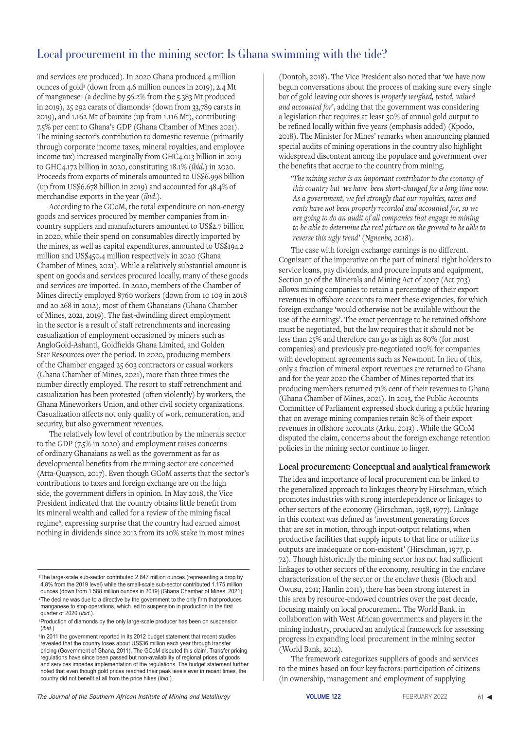and services are produced). In 2020 Ghana produced 4 million ounces of gold3 (down from 4.6 million ounces in 2019), 2.4 Mt of manganese4 (a decline by 56.2% from the 5.383 Mt produced in 2019), 25 292 carats of diamondss (down from 33,789 carats in 2019), and 1.162 Mt of bauxite (up from 1.116 Mt), contributing 7.5% per cent to Ghana's GDP (Ghana Chamber of Mines 2021). The mining sector's contribution to domestic revenue (primarily through corporate income taxes, mineral royalties, and employee income tax) increased marginally from GHC4.013 billion in 2019 to GHC4.172 billion in 2020, constituting 18.1% (*ibid*.) in 2020. Proceeds from exports of minerals amounted to US\$6.998 billion (up from US\$6.678 billion in 2019) and accounted for 48.4% of merchandise exports in the year (*ibid*.).

According to the GCoM, the total expenditure on non-energy goods and services procured by member companies from incountry suppliers and manufacturers amounted to US\$2.7 billion in 2020, while their spend on consumables directly imported by the mines, as well as capital expenditures, amounted to US\$194.2 million and US\$450.4 million respectively in 2020 (Ghana Chamber of Mines, 2021). While a relatively substantial amount is spent on goods and services procured locally, many of these goods and services are imported. In 2020, members of the Chamber of Mines directly employed 8760 workers (down from 10 109 in 2018 and 20 268 in 2012), most of them Ghanaians (Ghana Chamber of Mines, 2021, 2019). The fast-dwindling direct employment in the sector is a result of staff retrenchments and increasing casualization of employment occasioned by miners such as AngloGold-Ashanti, Goldfields Ghana Limited, and Golden Star Resources over the period. In 2020, producing members of the Chamber engaged 25 603 contractors or casual workers (Ghana Chamber of Mines, 2021), more than three times the number directly employed. The resort to staff retrenchment and casualization has been protested (often violently) by workers, the Ghana Mineworkers Union, and other civil society organizations. Casualization affects not only quality of work, remuneration, and security, but also government revenues.

The relatively low level of contribution by the minerals sector to the GDP (7.5% in 2020) and employment raises concerns of ordinary Ghanaians as well as the government as far as developmental benefits from the mining sector are concerned (Atta-Quayson, 2017). Even though GCoM asserts that the sector's contributions to taxes and foreign exchange are on the high side, the government differs in opinion. In May 2018, the Vice President indicated that the country obtains little benefit from its mineral wealth and called for a review of the mining fiscal regime6, expressing surprise that the country had earned almost nothing in dividends since 2012 from its 10% stake in most mines

4The decline was due to a directive by the government to the only firm that produces manganese to stop operations, which led to suspension in production in the first quarter of 2020 (*ibid*.).

5Production of diamonds by the only large-scale producer has been on suspension (*ibid*.)

 $^{\rm 6}$ In 2011 the government reported in its 2012 budget statement that recent studies revealed that the country loses about US\$36 million each year through transfer pricing (Government of Ghana, 2011). The GCoM disputed this claim. Transfer pricing regulations have since been passed but non-availability of regional prices of goods and services impedes implementation of the regulations. The budget statement further noted that even though gold prices reached their peak levels ever in recent times, the country did not benefit at all from the price hikes (*ibid.*).

(Dontoh, 2018). The Vice President also noted that 'we have now begun conversations about the process of making sure every single bar of gold leaving our shores is *properly weighed, tested, valued and accounted for*', adding that the government was considering a legislation that requires at least 50% of annual gold output to be refined locally within five years (emphasis added) (Kpodo, 2018). The Minister for Mines' remarks when announcing planned special audits of mining operations in the country also highlight widespread discontent among the populace and government over the benefits that accrue to the country from mining.

'*The mining sector is an important contributor to the economy of this country but we have been short-changed for a long time now. As a government, we feel strongly that our royalties, taxes and rents have not been properly recorded and accounted for, so we are going to do an audit of all companies that engage in mining to be able to determine the real picture on the ground to be able to reverse this ugly trend' (Ngnenbe, 2018)*.

The case with foreign exchange earnings is no different. Cognizant of the imperative on the part of mineral right holders to service loans, pay dividends, and procure inputs and equipment, Section 30 of the Minerals and Mining Act of 2007 (Act 703) allows mining companies to retain a percentage of their export revenues in offshore accounts to meet these exigencies, for which foreign exchange 'would otherwise not be available without the use of the earnings'. The exact percentage to be retained offshore must be negotiated, but the law requires that it should not be less than 25% and therefore can go as high as 80% (for most companies) and previously pre-negotiated 100% for companies with development agreements such as Newmont. In lieu of this, only a fraction of mineral export revenues are returned to Ghana and for the year 2020 the Chamber of Mines reported that its producing members returned 71% cent of their revenues to Ghana (Ghana Chamber of Mines, 2021). In 2013, the Public Accounts Committee of Parliament expressed shock during a public hearing that on average mining companies retain 80% of their export revenues in offshore accounts (Arku, 2013) . While the GCoM disputed the claim, concerns about the foreign exchange retention policies in the mining sector continue to linger.

### **Local procurement: Conceptual and analytical framework**

The idea and importance of local procurement can be linked to the generalized approach to linkages theory by Hirschman, which promotes industries with strong interdependence or linkages to other sectors of the economy (Hirschman, 1958, 1977). Linkage in this context was defined as 'investment generating forces that are set in motion, through input-output relations, when productive facilities that supply inputs to that line or utilize its outputs are inadequate or non-existent' (Hirschman, 1977, p. 72). Though historically the mining sector has not had sufficient linkages to other sectors of the economy, resulting in the enclave characterization of the sector or the enclave thesis (Bloch and Owusu, 2011; Hanlin 2011), there has been strong interest in this area by resource-endowed countries over the past decade, focusing mainly on local procurement. The World Bank, in collaboration with West African governments and players in the mining industry, produced an analytical framework for assessing progress in expanding local procurement in the mining sector (World Bank, 2012).

The framework categorizes suppliers of goods and services to the mines based on four key factors: participation of citizens (in ownership, management and employment of supplying

<sup>&</sup>lt;sup>3</sup>The large-scale sub-sector contributed 2.847 million ounces (representing a drop by 4.8% from the 2019 level) while the small-scale sub-sector contributed 1.175 million ounces (down from 1.588 million ounces in 2019) (Ghana Chamber of Mines, 2021)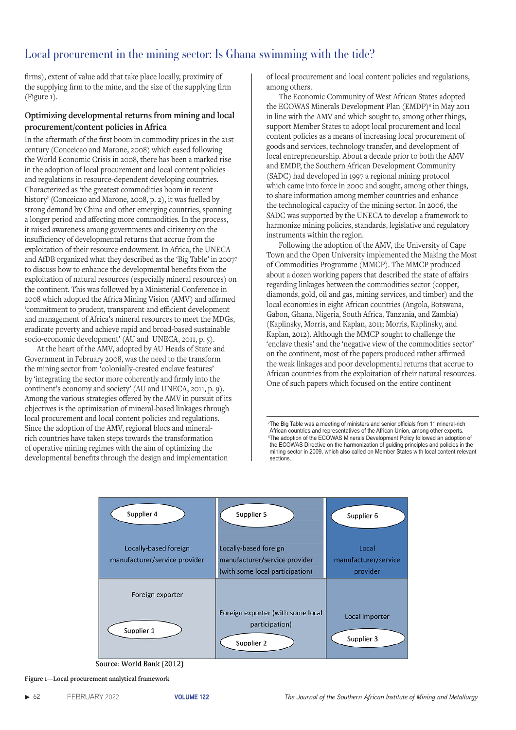firms), extent of value add that take place locally, proximity of the supplying firm to the mine, and the size of the supplying firm (Figure 1).

### **Optimizing developmental returns from mining and local procurement/content policies in Africa**

In the aftermath of the first boom in commodity prices in the 21st century (Conceicao and Marone, 2008) which eased following the World Economic Crisis in 2008, there has been a marked rise in the adoption of local procurement and local content policies and regulations in resource-dependent developing countries. Characterized as 'the greatest commodities boom in recent history' (Conceicao and Marone, 2008, p. 2), it was fuelled by strong demand by China and other emerging countries, spanning a longer period and affecting more commodities. In the process, it raised awareness among governments and citizenry on the insufficiency of developmental returns that accrue from the exploitation of their resource endowment. In Africa, the UNECA and AfDB organized what they described as the 'Big Table' in 20077 to discuss how to enhance the developmental benefits from the exploitation of natural resources (especially mineral resources) on the continent. This was followed by a Ministerial Conference in 2008 which adopted the Africa Mining Vision (AMV) and affirmed 'commitment to prudent, transparent and efficient development and management of Africa's mineral resources to meet the MDGs, eradicate poverty and achieve rapid and broad-based sustainable socio-economic development' (AU and UNECA, 2011, p. 5).

At the heart of the AMV, adopted by AU Heads of State and Government in February 2008, was the need to the transform the mining sector from 'colonially-created enclave features' by 'integrating the sector more coherently and firmly into the continent's economy and society' (AU and UNECA, 2011, p. 9). Among the various strategies offered by the AMV in pursuit of its objectives is the optimization of mineral-based linkages through local procurement and local content policies and regulations. Since the adoption of the AMV, regional blocs and mineralrich countries have taken steps towards the transformation of operative mining regimes with the aim of optimizing the developmental benefits through the design and implementation

of local procurement and local content policies and regulations, among others.

The Economic Community of West African States adopted the ECOWAS Minerals Development Plan (EMDP)<sup>8</sup> in May 2011 in line with the AMV and which sought to, among other things, support Member States to adopt local procurement and local content policies as a means of increasing local procurement of goods and services, technology transfer, and development of local entrepreneurship. About a decade prior to both the AMV and EMDP, the Southern African Development Community (SADC) had developed in 1997 a regional mining protocol which came into force in 2000 and sought, among other things, to share information among member countries and enhance the technological capacity of the mining sector. In 2006, the SADC was supported by the UNECA to develop a framework to harmonize mining policies, standards, legislative and regulatory instruments within the region.

Following the adoption of the AMV, the University of Cape Town and the Open University implemented the Making the Most of Commodities Programme (MMCP). The MMCP produced about a dozen working papers that described the state of affairs regarding linkages between the commodities sector (copper, diamonds, gold, oil and gas, mining services, and timber) and the local economies in eight African countries (Angola, Botswana, Gabon, Ghana, Nigeria, South Africa, Tanzania, and Zambia) (Kaplinsky, Morris, and Kaplan, 2011; Morris, Kaplinsky, and Kaplan, 2012). Although the MMCP sought to challenge the 'enclave thesis' and the 'negative view of the commodities sector' on the continent, most of the papers produced rather affirmed the weak linkages and poor developmental returns that accrue to African countries from the exploitation of their natural resources. One of such papers which focused on the entire continent

<sup>7</sup>The Big Table was a meeting of ministers and senior officials from 11 mineral-rich African countries and representatives of the African Union, among other experts. <sup>8</sup>The adoption of the ECOWAS Minerals Development Policy followed an adoption of the ECOWAS Directive on the harmonization of guiding principles and policies in the mining sector in 2009, which also called on Member States with local content relevant sections.



Source: World Bank (2012)

**Figure 1—Local procurement analytical framework**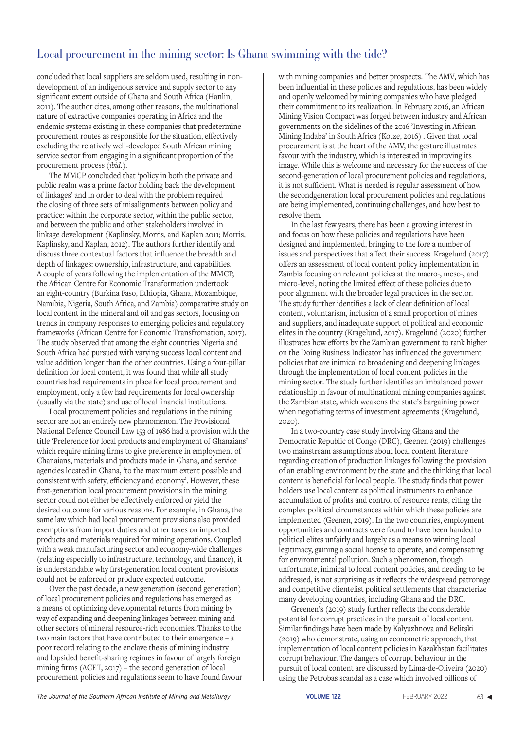concluded that local suppliers are seldom used, resulting in nondevelopment of an indigenous service and supply sector to any significant extent outside of Ghana and South Africa (Hanlin, 2011). The author cites, among other reasons, the multinational nature of extractive companies operating in Africa and the endemic systems existing in these companies that predetermine procurement routes as responsible for the situation, effectively excluding the relatively well-developed South African mining service sector from engaging in a significant proportion of the procurement process (*ibid.*).

The MMCP concluded that 'policy in both the private and public realm was a prime factor holding back the development of linkages' and in order to deal with the problem required the closing of three sets of misalignments between policy and practice: within the corporate sector, within the public sector, and between the public and other stakeholders involved in linkage development (Kaplinsky, Morris, and Kaplan 2011; Morris, Kaplinsky, and Kaplan, 2012). The authors further identify and discuss three contextual factors that influence the breadth and depth of linkages: ownership, infrastructure, and capabilities. A couple of years following the implementation of the MMCP, the African Centre for Economic Transformation undertook an eight-country (Burkina Faso, Ethiopia, Ghana, Mozambique, Namibia, Nigeria, South Africa, and Zambia) comparative study on local content in the mineral and oil and gas sectors, focusing on trends in company responses to emerging policies and regulatory frameworks (African Centre for Economic Transfromation, 2017). The study observed that among the eight countries Nigeria and South Africa had pursued with varying success local content and value addition longer than the other countries. Using a four-pillar definition for local content, it was found that while all study countries had requirements in place for local procurement and employment, only a few had requirements for local ownership (usually via the state) and use of local financial institutions.

Local procurement policies and regulations in the mining sector are not an entirely new phenomenon. The Provisional National Defence Council Law 153 of 1986 had a provision with the title 'Preference for local products and employment of Ghanaians' which require mining firms to give preference in employment of Ghanaians, materials and products made in Ghana, and service agencies located in Ghana, 'to the maximum extent possible and consistent with safety, efficiency and economy'. However, these first-generation local procurement provisions in the mining sector could not either be effectively enforced or yield the desired outcome for various reasons. For example, in Ghana, the same law which had local procurement provisions also provided exemptions from import duties and other taxes on imported products and materials required for mining operations. Coupled with a weak manufacturing sector and economy-wide challenges (relating especially to infrastructure, technology, and finance), it is understandable why first-generation local content provisions could not be enforced or produce expected outcome.

Over the past decade, a new generation (second generation) of local procurement policies and regulations has emerged as a means of optimizing developmental returns from mining by way of expanding and deepening linkages between mining and other sectors of mineral resource-rich economies. Thanks to the two main factors that have contributed to their emergence – a poor record relating to the enclave thesis of mining industry and lopsided benefit-sharing regimes in favour of largely foreign mining firms (ACET, 2017) – the second generation of local procurement policies and regulations seem to have found favour

with mining companies and better prospects. The AMV, which has been influential in these policies and regulations, has been widely and openly welcomed by mining companies who have pledged their commitment to its realization. In February 2016, an African Mining Vision Compact was forged between industry and African governments on the sidelines of the 2016 'Investing in African Mining Indaba' in South Africa (Kotze, 2016) . Given that local procurement is at the heart of the AMV, the gesture illustrates favour with the industry, which is interested in improving its image. While this is welcome and necessary for the success of the second-generation of local procurement policies and regulations, it is not sufficient. What is needed is regular assessment of how the secondgeneration local procurement policies and regulations are being implemented, continuing challenges, and how best to resolve them.

In the last few years, there has been a growing interest in and focus on how these policies and regulations have been designed and implemented, bringing to the fore a number of issues and perspectives that affect their success. Kragelund (2017) offers an assessment of local content policy implementation in Zambia focusing on relevant policies at the macro-, meso-, and micro-level, noting the limited effect of these policies due to poor alignment with the broader legal practices in the sector. The study further identifies a lack of clear definition of local content, voluntarism, inclusion of a small proportion of mines and suppliers, and inadequate support of political and economic elites in the country (Kragelund, 2017). Kragelund (2020) further illustrates how efforts by the Zambian government to rank higher on the Doing Business Indicator has influenced the government policies that are inimical to broadening and deepening linkages through the implementation of local content policies in the mining sector. The study further identifies an imbalanced power relationship in favour of multinational mining companies against the Zambian state, which weakens the state's bargaining power when negotiating terms of investment agreements (Kragelund, 2020).

In a two-country case study involving Ghana and the Democratic Republic of Congo (DRC), Geenen (2019) challenges two mainstream assumptions about local content literature regarding creation of production linkages following the provision of an enabling environment by the state and the thinking that local content is beneficial for local people. The study finds that power holders use local content as political instruments to enhance accumulation of profits and control of resource rents, citing the complex political circumstances within which these policies are implemented (Geenen, 2019). In the two countries, employment opportunities and contracts were found to have been handed to political elites unfairly and largely as a means to winning local legitimacy, gaining a social license to operate, and compensating for environmental pollution. Such a phenomenon, though unfortunate, inimical to local content policies, and needing to be addressed, is not surprising as it reflects the widespread patronage and competitive clientelist political settlements that characterize many developing countries, including Ghana and the DRC.

Greenen's (2019) study further reflects the considerable potential for corrupt practices in the pursuit of local content. Similar findings have been made by Kalyuzhnova and Belitski (2019) who demonstrate, using an econometric approach, that implementation of local content policies in Kazakhstan facilitates corrupt behaviour. The dangers of corrupt behaviour in the pursuit of local content are discussed by Lima-de-Oliveira (2020) using the Petrobas scandal as a case which involved billions of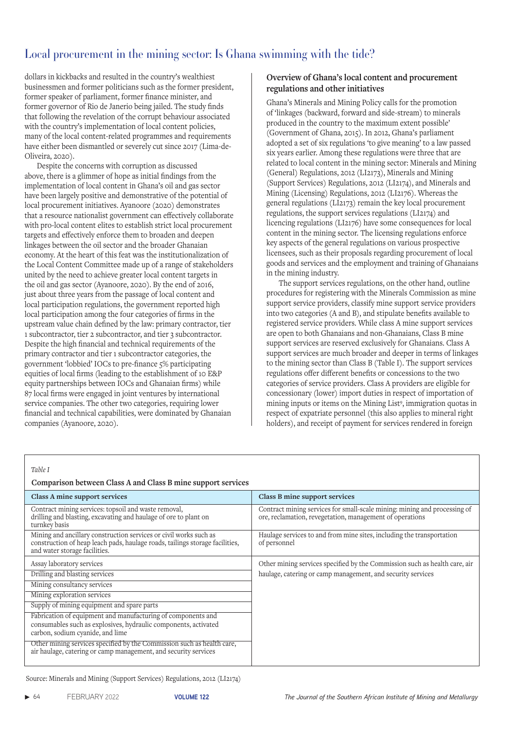dollars in kickbacks and resulted in the country's wealthiest businessmen and former politicians such as the former president, former speaker of parliament, former finance minister, and former governor of Rio de Janerio being jailed. The study finds that following the revelation of the corrupt behaviour associated with the country's implementation of local content policies, many of the local content-related programmes and requirements have either been dismantled or severely cut since 2017 (Lima-de-Oliveira, 2020).

Despite the concerns with corruption as discussed above, there is a glimmer of hope as initial findings from the implementation of local content in Ghana's oil and gas sector have been largely positive and demonstrative of the potential of local procurement initiatives. Ayanoore (2020) demonstrates that a resource nationalist government can effectively collaborate with pro-local content elites to establish strict local procurement targets and effectively enforce them to broaden and deepen linkages between the oil sector and the broader Ghanaian economy. At the heart of this feat was the institutionalization of the Local Content Committee made up of a range of stakeholders united by the need to achieve greater local content targets in the oil and gas sector (Ayanoore, 2020). By the end of 2016, just about three years from the passage of local content and local participation regulations, the government reported high local participation among the four categories of firms in the upstream value chain defined by the law: primary contractor, tier 1 subcontractor, tier 2 subcontractor, and tier 3 subcontractor. Despite the high financial and technical requirements of the primary contractor and tier 1 subcontractor categories, the government 'lobbied' IOCs to pre-finance 5% participating equities of local firms (leading to the establishment of 10 E&P equity partnerships between IOCs and Ghanaian firms) while 87 local firms were engaged in joint ventures by international service companies. The other two categories, requiring lower financial and technical capabilities, were dominated by Ghanaian companies (Ayanoore, 2020).

### **Overview of Ghana's local content and procurement regulations and other initiatives**

Ghana's Minerals and Mining Policy calls for the promotion of 'linkages (backward, forward and side-stream) to minerals produced in the country to the maximum extent possible' (Government of Ghana, 2015). In 2012, Ghana's parliament adopted a set of six regulations 'to give meaning' to a law passed six years earlier. Among these regulations were three that are related to local content in the mining sector: Minerals and Mining (General) Regulations, 2012 (LI2173), Minerals and Mining (Support Services) Regulations, 2012 (LI2174), and Minerals and Mining (Licensing) Regulations, 2012 (LI2176). Whereas the general regulations (LI2173) remain the key local procurement regulations, the support services regulations (LI2174) and licencing regulations (LI2176) have some consequences for local content in the mining sector. The licensing regulations enforce key aspects of the general regulations on various prospective licensees, such as their proposals regarding procurement of local goods and services and the employment and training of Ghanaians in the mining industry.

The support services regulations, on the other hand, outline procedures for registering with the Minerals Commission as mine support service providers, classify mine support service providers into two categories (A and B), and stipulate benefits available to registered service providers. While class A mine support services are open to both Ghanaians and non-Ghanaians, Class B mine support services are reserved exclusively for Ghanaians. Class A support services are much broader and deeper in terms of linkages to the mining sector than Class B (Table I). The support services regulations offer different benefits or concessions to the two categories of service providers. Class A providers are eligible for concessionary (lower) import duties in respect of importation of mining inputs or items on the Mining List9, immigration quotas in respect of expatriate personnel (this also applies to mineral right holders), and receipt of payment for services rendered in foreign

#### *Table I*

### **Comparison between Class A and Class B mine support services**

| Class A mine support services                                                                                                                                                      | Class B mine support services                                                                                                         |
|------------------------------------------------------------------------------------------------------------------------------------------------------------------------------------|---------------------------------------------------------------------------------------------------------------------------------------|
| Contract mining services: topsoil and waste removal,<br>drilling and blasting, excavating and haulage of ore to plant on<br>turnkey basis                                          | Contract mining services for small-scale mining: mining and processing of<br>ore, reclamation, revegetation, management of operations |
| Mining and ancillary construction services or civil works such as<br>construction of heap leach pads, haulage roads, tailings storage facilities,<br>and water storage facilities. | Haulage services to and from mine sites, including the transportation<br>of personnel                                                 |
| Assay laboratory services                                                                                                                                                          | Other mining services specified by the Commission such as health care, air                                                            |
| Drilling and blasting services                                                                                                                                                     | haulage, catering or camp management, and security services                                                                           |
| Mining consultancy services                                                                                                                                                        |                                                                                                                                       |
| Mining exploration services                                                                                                                                                        |                                                                                                                                       |
| Supply of mining equipment and spare parts                                                                                                                                         |                                                                                                                                       |
| Fabrication of equipment and manufacturing of components and<br>consumables such as explosives, hydraulic components, activated<br>carbon, sodium cyanide, and lime                |                                                                                                                                       |
| Other mining services specified by the Commission such as health care,<br>air haulage, catering or camp management, and security services                                          |                                                                                                                                       |

Source: Minerals and Mining (Support Services) Regulations, 2012 (LI2174)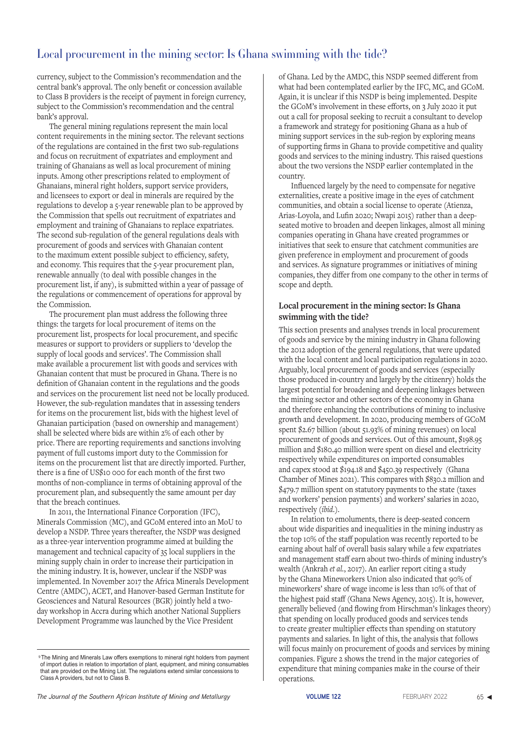currency, subject to the Commission's recommendation and the central bank's approval. The only benefit or concession available to Class B providers is the receipt of payment in foreign currency, subject to the Commission's recommendation and the central bank's approval.

The general mining regulations represent the main local content requirements in the mining sector. The relevant sections of the regulations are contained in the first two sub-regulations and focus on recruitment of expatriates and employment and training of Ghanaians as well as local procurement of mining inputs. Among other prescriptions related to employment of Ghanaians, mineral right holders, support service providers, and licensees to export or deal in minerals are required by the regulations to develop a 5-year renewable plan to be approved by the Commission that spells out recruitment of expatriates and employment and training of Ghanaians to replace expatriates. The second sub-regulation of the general regulations deals with procurement of goods and services with Ghanaian content to the maximum extent possible subject to efficiency, safety, and economy. This requires that the 5-year procurement plan, renewable annually (to deal with possible changes in the procurement list, if any), is submitted within a year of passage of the regulations or commencement of operations for approval by the Commission.

The procurement plan must address the following three things: the targets for local procurement of items on the procurement list, prospects for local procurement, and specific measures or support to providers or suppliers to 'develop the supply of local goods and services'. The Commission shall make available a procurement list with goods and services with Ghanaian content that must be procured in Ghana. There is no definition of Ghanaian content in the regulations and the goods and services on the procurement list need not be locally produced. However, the sub-regulation mandates that in assessing tenders for items on the procurement list, bids with the highest level of Ghanaian participation (based on ownership and management) shall be selected where bids are within 2% of each other by price. There are reporting requirements and sanctions involving payment of full customs import duty to the Commission for items on the procurement list that are directly imported. Further, there is a fine of US\$10 000 for each month of the first two months of non-compliance in terms of obtaining approval of the procurement plan, and subsequently the same amount per day that the breach continues.

In 2011, the International Finance Corporation (IFC), Minerals Commission (MC), and GCoM entered into an MoU to develop a NSDP. Three years thereafter, the NSDP was designed as a three-year intervention programme aimed at building the management and technical capacity of 35 local suppliers in the mining supply chain in order to increase their participation in the mining industry. It is, however, unclear if the NSDP was implemented. In November 2017 the Africa Minerals Development Centre (AMDC), ACET, and Hanover-based German Institute for Geosciences and Natural Resources (BGR) jointly held a twoday workshop in Accra during which another National Suppliers Development Programme was launched by the Vice President

of Ghana. Led by the AMDC, this NSDP seemed different from what had been contemplated earlier by the IFC, MC, and GCoM. Again, it is unclear if this NSDP is being implemented. Despite the GCoM's involvement in these efforts, on 3 July 2020 it put out a call for proposal seeking to recruit a consultant to develop a framework and strategy for positioning Ghana as a hub of mining support services in the sub-region by exploring means of supporting firms in Ghana to provide competitive and quality goods and services to the mining industry. This raised questions about the two versions the NSDP earlier contemplated in the country.

Influenced largely by the need to compensate for negative externalities, create a positive image in the eyes of catchment communities, and obtain a social license to operate (Atienza, Arias-Loyola, and Lufin 2020; Nwapi 2015) rather than a deepseated motive to broaden and deepen linkages, almost all mining companies operating in Ghana have created programmes or initiatives that seek to ensure that catchment communities are given preference in employment and procurement of goods and services. As signature programmes or initiatives of mining companies, they differ from one company to the other in terms of scope and depth.

### **Local procurement in the mining sector: Is Ghana swimming with the tide?**

This section presents and analyses trends in local procurement of goods and service by the mining industry in Ghana following the 2012 adoption of the general regulations, that were updated with the local content and local participation regulations in 2020. Arguably, local procurement of goods and services (especially those produced in-country and largely by the citizenry) holds the largest potential for broadening and deepening linkages between the mining sector and other sectors of the economy in Ghana and therefore enhancing the contributions of mining to inclusive growth and development. In 2020, producing members of GCoM spent \$2.67 billion (about 51.93% of mining revenues) on local procurement of goods and services. Out of this amount, \$198.95 million and \$180.40 million were spent on diesel and electricity respectively while expenditures on imported consumables and capex stood at \$194.18 and \$450.39 respectively (Ghana Chamber of Mines 2021). This compares with \$830.2 million and \$479.7 million spent on statutory payments to the state (taxes and workers' pension payments) and workers' salaries in 2020, respectively (*ibid*.).

In relation to emoluments, there is deep-seated concern about wide disparities and inequalities in the mining industry as the top 10% of the staff population was recently reported to be earning about half of overall basis salary while a few expatriates and management staff earn about two-thirds of mining industry's wealth (Ankrah *et al.*, 2017). An earlier report citing a study by the Ghana Mineworkers Union also indicated that 90% of mineworkers' share of wage income is less than 10% of that of the highest paid staff (Ghana News Agency, 2015). It is, however, generally believed (and flowing from Hirschman's linkages theory) that spending on locally produced goods and services tends to create greater multiplier effects than spending on statutory payments and salaries. In light of this, the analysis that follows will focus mainly on procurement of goods and services by mining companies. Figure 2 shows the trend in the major categories of expenditure that mining companies make in the course of their operations.

<sup>&</sup>lt;sup>9</sup>The Mining and Minerals Law offers exemptions to mineral right holders from payment of import duties in relation to importation of plant, equipment, and mining consumables that are provided on the Mining List. The regulations extend similar concessions to Class A providers, but not to Class B.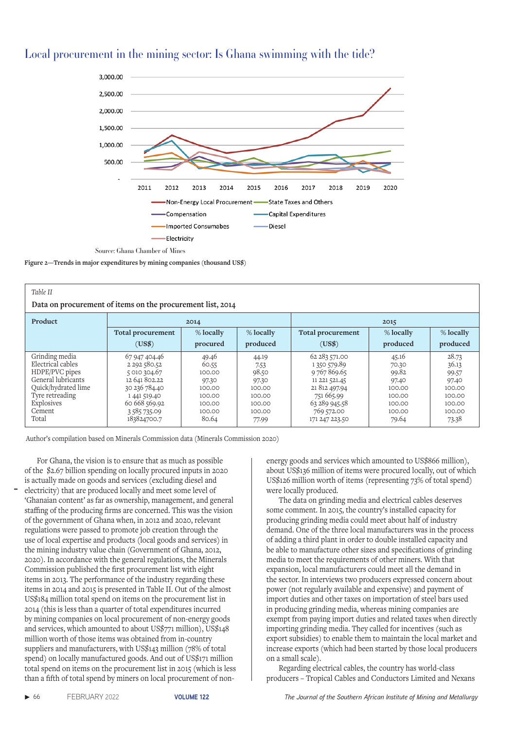

**Figure 2—Trends in major expenditures by mining companies (thousand US\$)**

| Table II<br>Data on procurement of items on the procurement list, 2014 |                     |           |           |                          |           |           |  |
|------------------------------------------------------------------------|---------------------|-----------|-----------|--------------------------|-----------|-----------|--|
| Product                                                                | 2014                |           |           | 2015                     |           |           |  |
|                                                                        | Total procurement   | % locally | % locally | <b>Total procurement</b> | % locally | % locally |  |
|                                                                        | (US\$)              | procured  | produced  | (USS)                    | produced  | produced  |  |
| Grinding media                                                         | 67 947 404.46       | 49.46     | 44.19     | 62 283 571.00            | 45.16     | 28.73     |  |
| Electrical cables                                                      | 2 2 9 2 5 8 0 . 5 2 | 60.55     | 7.53      | 1 350 579.89             | 70.30     | 36.13     |  |
| HDPE/PVC pipes                                                         | 5 010 304.67        | 100.00    | 98.50     | 9767869.65               | 99.82     | 99.57     |  |
| General lubricants                                                     | 12 641 802.22       | 97.30     | 97.30     | 11 221 521.45            | 97.40     | 97.40     |  |
| Ouick/hydrated lime                                                    | 30 236 784.40       | 100.00    | 100.00    | 21 812 497.94            | 100.00    | 100.00    |  |
| Tyre retreading                                                        | 1 441 519.40        | 100.00    | 100.00    | 751 665.99               | 100.00    | 100.00    |  |
| Explosives                                                             | 60 668 569.92       | 100.00    | 100.00    | 63 289 945.58            | 100.00    | 100.00    |  |
| Cement                                                                 | 3585735.09          | 100.00    | 100.00    | 769 572.00               | 100.00    | 100.00    |  |
| Total                                                                  | 183824700.7         | 80.64     | 77.99     | 171 247 223.50           | 79.64     | 73.38     |  |

Author's compilation based on Minerals Commission data (Minerals Commission 2020)

For Ghana, the vision is to ensure that as much as possible of the \$2.67 billion spending on locally procured inputs in 2020 is actually made on goods and services (excluding diesel and electricity) that are produced locally and meet some level of 'Ghanaian content' as far as ownership, management, and general staffing of the producing firms are concerned. This was the vision of the government of Ghana when, in 2012 and 2020, relevant regulations were passed to promote job creation through the use of local expertise and products (local goods and services) in the mining industry value chain (Government of Ghana, 2012, 2020). In accordance with the general regulations, the Minerals Commission published the first procurement list with eight items in 2013. The performance of the industry regarding these items in 2014 and 2015 is presented in Table II. Out of the almost US\$184 million total spend on items on the procurement list in 2014 (this is less than a quarter of total expenditures incurred by mining companies on local procurement of non-energy goods and services, which amounted to about US\$771 million), US\$148 million worth of those items was obtained from in-country suppliers and manufacturers, with US\$143 million (78% of total spend) on locally manufactured goods. And out of US\$171 million total spend on items on the procurement list in 2015 (which is less than a fifth of total spend by miners on local procurement of nonenergy goods and services which amounted to US\$866 million), about US\$136 million of items were procured locally, out of which US\$126 million worth of items (representing 73% of total spend) were locally produced.

The data on grinding media and electrical cables deserves some comment. In 2015, the country's installed capacity for producing grinding media could meet about half of industry demand. One of the three local manufacturers was in the process of adding a third plant in order to double installed capacity and be able to manufacture other sizes and specifications of grinding media to meet the requirements of other miners. With that expansion, local manufacturers could meet all the demand in the sector. In interviews two producers expressed concern about power (not regularly available and expensive) and payment of import duties and other taxes on importation of steel bars used in producing grinding media, whereas mining companies are exempt from paying import duties and related taxes when directly importing grinding media. They called for incentives (such as export subsidies) to enable them to maintain the local market and increase exports (which had been started by those local producers on a small scale).

Regarding electrical cables, the country has world-class producers – Tropical Cables and Conductors Limited and Nexans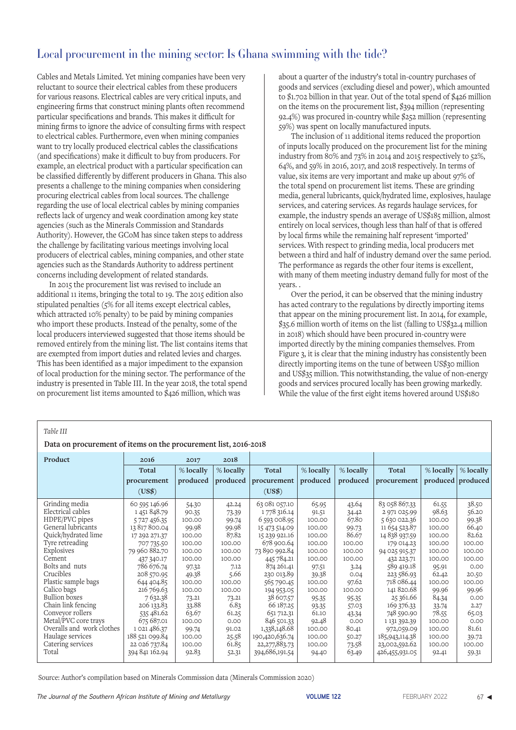Cables and Metals Limited. Yet mining companies have been very reluctant to source their electrical cables from these producers for various reasons. Electrical cables are very critical inputs, and engineering firms that construct mining plants often recommend particular specifications and brands. This makes it difficult for mining firms to ignore the advice of consulting firms with respect to electrical cables. Furthermore, even when mining companies want to try locally produced electrical cables the classifications (and specifications) make it difficult to buy from producers. For example, an electrical product with a particular specification can be classified differently by different producers in Ghana. This also presents a challenge to the mining companies when considering procuring electrical cables from local sources. The challenge regarding the use of local electrical cables by mining companies reflects lack of urgency and weak coordination among key state agencies (such as the Minerals Commission and Standards Authority). However, the GCoM has since taken steps to address the challenge by facilitating various meetings involving local producers of electrical cables, mining companies, and other state agencies such as the Standards Authority to address pertinent concerns including development of related standards.

In 2015 the procurement list was revised to include an additional 11 items, bringing the total to 19. The 2015 edition also stipulated penalties (5% for all items except electrical cables, which attracted 10% penalty) to be paid by mining companies who import these products. Instead of the penalty, some of the local producers interviewed suggested that those items should be removed entirely from the mining list. The list contains items that are exempted from import duties and related levies and charges. This has been identified as a major impediment to the expansion of local production for the mining sector. The performance of the industry is presented in Table III. In the year 2018, the total spend on procurement list items amounted to \$426 million, which was

about a quarter of the industry's total in-country purchases of goods and services (excluding diesel and power), which amounted to \$1.702 billion in that year. Out of the total spend of \$426 million on the items on the procurement list, \$394 million (representing 92.4%) was procured in-country while \$252 million (representing 59%) was spent on locally manufactured inputs.

The inclusion of 11 additional items reduced the proportion of inputs locally produced on the procurement list for the mining industry from 80% and 73% in 2014 and 2015 respectively to 52%, 64%, and 59% in 2016, 2017, and 2018 respectively. In terms of value, six items are very important and make up about 97% of the total spend on procurement list items. These are grinding media, general lubricants, quick/hydrated lime, explosives, haulage services, and catering services. As regards haulage services, for example, the industry spends an average of US\$185 million, almost entirely on local services, though less than half of that is offered by local firms while the remaining half represent 'imported' services. With respect to grinding media, local producers met between a third and half of industry demand over the same period. The performance as regards the other four items is excellent, with many of them meeting industry demand fully for most of the years. .

Over the period, it can be observed that the mining industry has acted contrary to the regulations by directly importing items that appear on the mining procurement list. In 2014, for example, \$35.6 million worth of items on the list (falling to US\$32.4 million in 2018) which should have been procured in-country were imported directly by the mining companies themselves. From Figure 3, it is clear that the mining industry has consistently been directly importing items on the tune of between US\$30 million and US\$35 million. This notwithstanding, the value of non-energy goods and services procured locally has been growing markedly. While the value of the first eight items hovered around US\$180

#### *Table III*

 **Data on procurement of items on the procurement list, 2016-2018**

| Product                   | 2016           | 2017        | 2018        |                  |           |           |                |             |                   |
|---------------------------|----------------|-------------|-------------|------------------|-----------|-----------|----------------|-------------|-------------------|
|                           | Total          | $%$ locally | $%$ locally | Total            | % locally | % locally | Total          | $%$ locally | % locally         |
|                           | procurement    | produced    | produced    | procurement      | produced  | produced  | procurement    |             | produced produced |
|                           | (US\$)         |             |             | (US\$)           |           |           |                |             |                   |
| Grinding media            | 60 595 146.96  | 54.30       | 42.24       | 63 081 057.10    | 65.95     | 43.64     | 83 058 867.33  | 61.55       | 38.50             |
| Electrical cables         | 1451848.79     | 90.35       | 73.39       | 1 778 316.14     | 91.51     | 34.42     | 2 971 025.99   | 98.63       | 56.20             |
| HDPE/PVC pipes            | 5 727 456.35   | 100.00      | 99.74       | 6 593 008.95     | 100.00    | 67.80     | 5 630 022.36   | 100.00      | 99.38             |
| General lubricants        | 13817800.04    | 99.98       | 99.98       | 15 473 514.09    | 100.00    | 99.73     | 11 654 523.87  | 100.00      | 66.40             |
| Quick/hydrated lime       | 17 292 271.37  | 100.00      | 87.82       | 15 239 921.16    | 100.00    | 86.67     | 14 838 937.59  | 100.00      | 82.62             |
| Tyre retreading           | 707 735.50     | 100.00      | 100.00      | 678 900.64       | 100.00    | 100.00    | 179 014.23     | 100.00      | 100.00            |
| Explosives                | 79 960 882.70  | 100.00      | 100.00      | 73 890 992.84    | 100.00    | 100.00    | 94 025 915.37  | 100.00      | 100.00            |
| Cement                    | 437 340.17     | 100.00      | 100.00      | 445 784.21       | 100.00    | 100.00    | 432 223.71     | 100.00      | 100.00            |
| Bolts and nuts            | 786 676.74     | 97.32       | 7.12        | 874 261.41       | 97.51     | 3.24      | 589 419.18     | 95.91       | 0.00              |
| Crucibles                 | 208 570.95     | 49.38       | 5.66        | 230 013.89       | 39.38     | 0.04      | 223 586.93     | 62.42       | 20.50             |
| Plastic sample bags       | 644 404.85     | 100.00      | 100.00      | 565 790.45       | 100.00    | 97.62     | 718 086.44     | 100.00      | 100.00            |
| Calico bags               | 216 769.63     | 100.00      | 100.00      | 194 953.05       | 100.00    | 100.00    | 141 820.68     | 99.96       | 99.96             |
| <b>Bullion</b> boxes      | 7632.38        | 73.21       | 73.21       | 38 607.57        | 95.35     | 95.35     | 25 361.66      | 84.34       | 0.00              |
| Chain link fencing        | 206 133.83     | 33.88       | 6.83        | 66 187.25        | 93.35     | 57.03     | 169 376.33     | 33.74       | 2.27              |
| Conveyor rollers          | 535 481.62     | 63.67       | 61.25       | 651 712.31       | 61.10     | 43.34     | 748 590.90     | 78.55       | 65.03             |
| Metal/PVC core trays      | 675 687.01     | 100.00      | 0.00        | 846 501.33       | 92.48     | 0.00      | 1 131 392.39   | 100.00      | 0.00              |
| Overalls and work clothes | 1021486.37     | 99.74       | 91.02       | 1,338,148.68     | 100.00    | 80.41     | 972,059.09     | 100.00      | 81.61             |
| Haulage services          | 188 521 099.84 | 100.00      | 25.58       | 190,420,636.74   | 100.00    | 50.27     | 185,943,114.38 | 100.00      | 39.72             |
| Catering services         | 22 026 737.84  | 100.00      | 61.85       | 22, 277, 883. 73 | 100.00    | 73.58     | 23,002,592.62  | 100.00      | 100.00            |
| Total                     | 394 841 162.94 | 92.83       | 52.31       | 394,686,191.54   | 94.40     | 63.49     | 426,455,931.05 | 92.41       | 59.31             |

Source: Author's compilation based on Minerals Commission data (Minerals Commission 2020)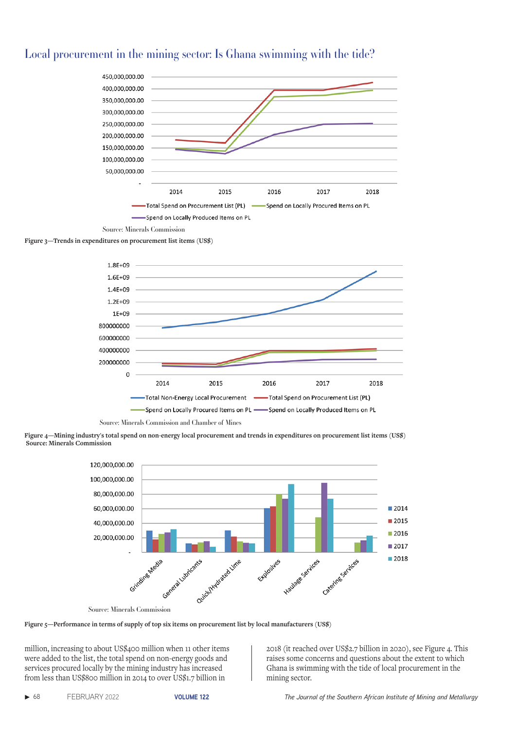







Source: Minerals Commission and Chamber of Mines









million, increasing to about US\$400 million when 11 other items were added to the list, the total spend on non-energy goods and services procured locally by the mining industry has increased from less than US\$800 million in 2014 to over US\$1.7 billion in

2018 (it reached over US\$2.7 billion in 2020), see Figure 4. This raises some concerns and questions about the extent to which Ghana is swimming with the tide of local procurement in the mining sector.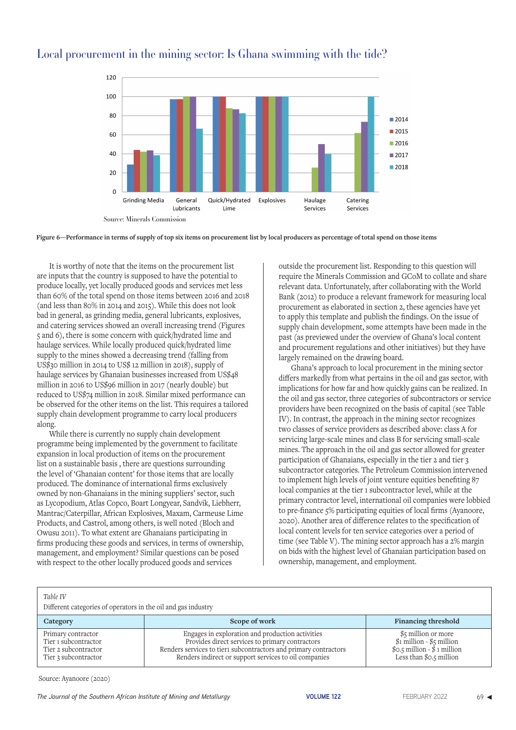

**Figure 6—Performance in terms of supply of top six items on procurement list by local producers as percentage of total spend on those items**

### Local procurement in the mining sector: Is Ghana swimming with the tide?

It is worthy of note that the items on the procurement list are inputs that the country is supposed to have the potential to produce locally, yet locally produced goods and services met less than 60% of the total spend on those items between 2016 and 2018 (and less than 80% in 2014 and 2015). While this does not look bad in general, as grinding media, general lubricants, explosives, and catering services showed an overall increasing trend (Figures 5 and 6), there is some concern with quick/hydrated lime and haulage services. While locally produced quick/hydrated lime supply to the mines showed a decreasing trend (falling from US\$30 million in 2014 to US\$ 12 million in 2018), supply of haulage services by Ghanaian businesses increased from US\$48 million in 2016 to US\$96 million in 2017 (nearly double) but reduced to US\$74 million in 2018. Similar mixed performance can be observed for the other items on the list. This requires a tailored supply chain development programme to carry local producers along.

While there is currently no supply chain development programme being implemented by the government to facilitate expansion in local production of items on the procurement list on a sustainable basis , there are questions surrounding the level of 'Ghanaian content' for those items that are locally produced. The dominance of international firms exclusively owned by non-Ghanaians in the mining suppliers' sector, such as Lycopodium, Atlas Copco, Boart Longyear, Sandvik, Liebherr, Mantrac/Caterpillar, African Explosives, Maxam, Carmeuse Lime Products, and Castrol, among others, is well noted (Bloch and Owusu 2011). To what extent are Ghanaians participating in firms producing these goods and services, in terms of ownership, management, and employment? Similar questions can be posed with respect to the other locally produced goods and services

outside the procurement list. Responding to this question will require the Minerals Commission and GCoM to collate and share relevant data. Unfortunately, after collaborating with the World Bank (2012) to produce a relevant framework for measuring local procurement as elaborated in section 2, these agencies have yet to apply this template and publish the findings. On the issue of supply chain development, some attempts have been made in the past (as previewed under the overview of Ghana's local content and procurement regulations and other initiatives) but they have largely remained on the drawing board.

Ghana's approach to local procurement in the mining sector differs markedly from what pertains in the oil and gas sector, with implications for how far and how quickly gains can be realized. In the oil and gas sector, three categories of subcontractors or service providers have been recognized on the basis of capital (see Table IV). In contrast, the approach in the mining sector recognizes two classes of service providers as described above: class A for servicing large-scale mines and class B for servicing small-scale mines. The approach in the oil and gas sector allowed for greater participation of Ghanaians, especially in the tier 2 and tier 3 subcontractor categories. The Petroleum Commission intervened to implement high levels of joint venture equities benefiting 87 local companies at the tier 1 subcontractor level, while at the primary contractor level, international oil companies were lobbied to pre-finance 5% participating equities of local firms (Ayanoore, 2020). Another area of difference relates to the specification of local content levels for ten service categories over a period of time (see Table V). The mining sector approach has a 2% margin on bids with the highest level of Ghanaian participation based on ownership, management, and employment.

 *Table IV*

Different categories of operators in the oil and gas industry

| Category                                                                                   | Scope of work                                                                                                                                                                                                                    | <b>Financing threshold</b>                                                                                                     |
|--------------------------------------------------------------------------------------------|----------------------------------------------------------------------------------------------------------------------------------------------------------------------------------------------------------------------------------|--------------------------------------------------------------------------------------------------------------------------------|
| Primary contractor<br>Tier 1 subcontractor<br>Tier 2 subcontractor<br>Tier 3 subcontractor | Engages in exploration and production activities<br>Provides direct services to primary contractors<br>Renders services to tier1 subcontractors and primary contractors<br>Renders indirect or support services to oil companies | \$5 million or more<br>$$1$ million - \$5 million<br>$\text{\$o.s}$ million - $\text{\$1}$ million<br>Less than $$o.5$ million |

Source: Ayanoore (2020)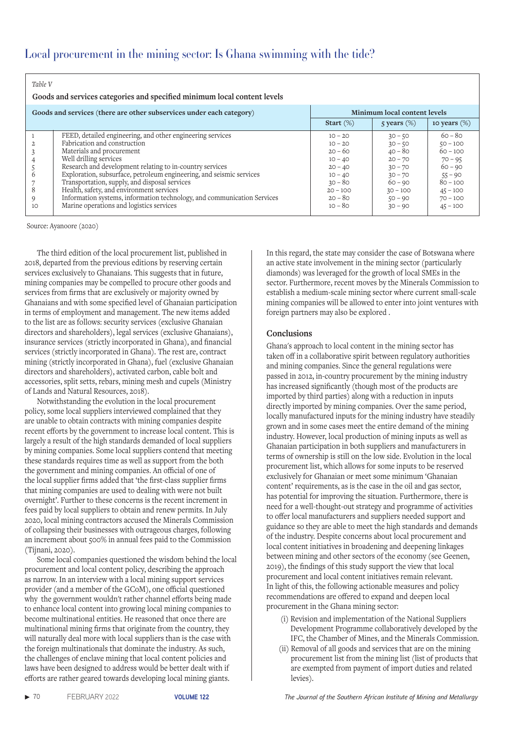| Table V<br>Goods and services categories and specified minimum local content levels |                                                                                                                                                                                                                                                                                                                                                                                                                                                                                                           |                                                                                                                                 |                                                                                                                                 |                                                                                                                                      |  |  |
|-------------------------------------------------------------------------------------|-----------------------------------------------------------------------------------------------------------------------------------------------------------------------------------------------------------------------------------------------------------------------------------------------------------------------------------------------------------------------------------------------------------------------------------------------------------------------------------------------------------|---------------------------------------------------------------------------------------------------------------------------------|---------------------------------------------------------------------------------------------------------------------------------|--------------------------------------------------------------------------------------------------------------------------------------|--|--|
|                                                                                     | Goods and services (there are other subservices under each category)                                                                                                                                                                                                                                                                                                                                                                                                                                      |                                                                                                                                 | Minimum local content levels                                                                                                    |                                                                                                                                      |  |  |
|                                                                                     |                                                                                                                                                                                                                                                                                                                                                                                                                                                                                                           | Start $(\%)$                                                                                                                    | 5 years $(\%)$                                                                                                                  | to years $(\%)$                                                                                                                      |  |  |
| 6<br>8<br>9<br>10                                                                   | FEED, detailed engineering, and other engineering services<br>Fabrication and construction<br>Materials and procurement<br>Well drilling services<br>Research and development relating to in-country services<br>Exploration, subsurface, petroleum engineering, and seismic services<br>Transportation, supply, and disposal services<br>Health, safety, and environment services<br>Information systems, information technology, and communication Services<br>Marine operations and logistics services | $10 - 20$<br>$10 - 20$<br>$20 - 60$<br>$10 - 40$<br>$20 - 40$<br>$10 - 40$<br>$30 - 80$<br>$20 - 100$<br>$20 - 80$<br>$10 - 80$ | $30 - 50$<br>$30 - 50$<br>$40 - 80$<br>$20 - 70$<br>$30 - 70$<br>$30 - 70$<br>$60 - 90$<br>$30 - 100$<br>$50 - 90$<br>$30 - 90$ | $60 - 80$<br>$50 - 100$<br>$60 - 100$<br>$70 - 95$<br>$60 - 90$<br>$55 - 90$<br>$80 - 100$<br>$45 - 100$<br>$70 - 100$<br>$45 - 100$ |  |  |

Source: Ayanoore (2020)

The third edition of the local procurement list, published in 2018, departed from the previous editions by reserving certain services exclusively to Ghanaians. This suggests that in future, mining companies may be compelled to procure other goods and services from firms that are exclusively or majority owned by Ghanaians and with some specified level of Ghanaian participation in terms of employment and management. The new items added to the list are as follows: security services (exclusive Ghanaian directors and shareholders), legal services (exclusive Ghanaians), insurance services (strictly incorporated in Ghana), and financial services (strictly incorporated in Ghana). The rest are, contract mining (strictly incorporated in Ghana), fuel (exclusive Ghanaian directors and shareholders), activated carbon, cable bolt and accessories, split setts, rebars, mining mesh and cupels (Ministry of Lands and Natural Resources, 2018).

Notwithstanding the evolution in the local procurement policy, some local suppliers interviewed complained that they are unable to obtain contracts with mining companies despite recent efforts by the government to increase local content. This is largely a result of the high standards demanded of local suppliers by mining companies. Some local suppliers contend that meeting these standards requires time as well as support from the both the government and mining companies. An official of one of the local supplier firms added that 'the first-class supplier firms that mining companies are used to dealing with were not built overnight'. Further to these concerns is the recent increment in fees paid by local suppliers to obtain and renew permits. In July 2020, local mining contractors accused the Minerals Commission of collapsing their businesses with outrageous charges, following an increment about 500% in annual fees paid to the Commission (Tijnani, 2020).

Some local companies questioned the wisdom behind the local procurement and local content policy, describing the approach as narrow. In an interview with a local mining support services provider (and a member of the GCoM), one official questioned why the government wouldn't rather channel efforts being made to enhance local content into growing local mining companies to become multinational entities. He reasoned that once there are multinational mining firms that originate from the country, they will naturally deal more with local suppliers than is the case with the foreign multinationals that dominate the industry. As such, the challenges of enclave mining that local content policies and laws have been designed to address would be better dealt with if efforts are rather geared towards developing local mining giants.

In this regard, the state may consider the case of Botswana where an active state involvement in the mining sector (particularly diamonds) was leveraged for the growth of local SMEs in the sector. Furthermore, recent moves by the Minerals Commission to establish a medium-scale mining sector where current small-scale mining companies will be allowed to enter into joint ventures with foreign partners may also be explored .

### **Conclusions**

Ghana's approach to local content in the mining sector has taken off in a collaborative spirit between regulatory authorities and mining companies. Since the general regulations were passed in 2012, in-country procurement by the mining industry has increased significantly (though most of the products are imported by third parties) along with a reduction in inputs directly imported by mining companies. Over the same period, locally manufactured inputs for the mining industry have steadily grown and in some cases meet the entire demand of the mining industry. However, local production of mining inputs as well as Ghanaian participation in both suppliers and manufacturers in terms of ownership is still on the low side. Evolution in the local procurement list, which allows for some inputs to be reserved exclusively for Ghanaian or meet some minimum 'Ghanaian content' requirements, as is the case in the oil and gas sector, has potential for improving the situation. Furthermore, there is need for a well-thought-out strategy and programme of activities to offer local manufacturers and suppliers needed support and guidance so they are able to meet the high standards and demands of the industry. Despite concerns about local procurement and local content initiatives in broadening and deepening linkages between mining and other sectors of the economy (see Geenen, 2019), the findings of this study support the view that local procurement and local content initiatives remain relevant. In light of this, the following actionable measures and policy recommendations are offered to expand and deepen local procurement in the Ghana mining sector:

- (i) Revision and implementation of the National Suppliers Development Programme collaboratively developed by the IFC, the Chamber of Mines, and the Minerals Commission.
- (ii) Removal of all goods and services that are on the mining procurement list from the mining list (list of products that are exempted from payment of import duties and related levies).